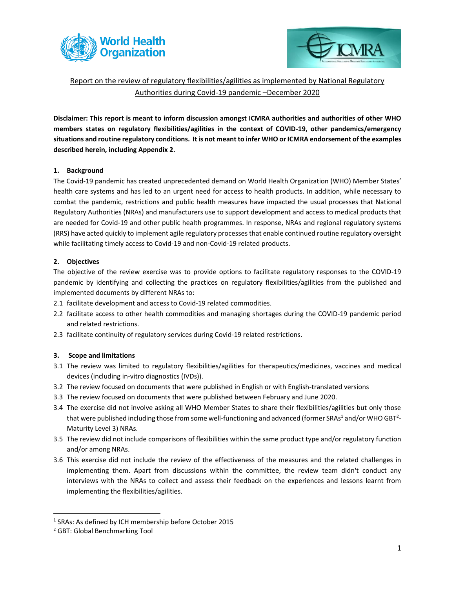



Report on the review of regulatory flexibilities/agilities as implemented by National Regulatory Authorities during Covid-19 pandemic –December 2020

**Disclaimer: This report is meant to inform discussion amongst ICMRA authorities and authorities of other WHO members states on regulatory flexibilities/agilities in the context of COVID-19, other pandemics/emergency situations and routine regulatory conditions. It is not meant to infer WHO or ICMRA endorsement of the examples described herein, including Appendix 2.**

## **1. Background**

The Covid-19 pandemic has created unprecedented demand on World Health Organization (WHO) Member States' health care systems and has led to an urgent need for access to health products. In addition, while necessary to combat the pandemic, restrictions and public health measures have impacted the usual processes that National Regulatory Authorities (NRAs) and manufacturers use to support development and access to medical products that are needed for Covid-19 and other public health programmes. In response, NRAs and regional regulatory systems (RRS) have acted quickly to implement agile regulatory processes that enable continued routine regulatory oversight while facilitating timely access to Covid-19 and non-Covid-19 related products.

### **2. Objectives**

The objective of the review exercise was to provide options to facilitate regulatory responses to the COVID-19 pandemic by identifying and collecting the practices on regulatory flexibilities/agilities from the published and implemented documents by different NRAs to:

- 2.1 facilitate development and access to Covid-19 related commodities.
- 2.2 facilitate access to other health commodities and managing shortages during the COVID-19 pandemic period and related restrictions.
- 2.3 facilitate continuity of regulatory services during Covid-19 related restrictions.

### **3. Scope and limitations**

- 3.1 The review was limited to regulatory flexibilities/agilities for therapeutics/medicines, vaccines and medical devices (including in-vitro diagnostics (IVDs)).
- 3.2 The review focused on documents that were published in English or with English-translated versions
- 3.3 The review focused on documents that were published between February and June 2020.
- 3.4 The exercise did not involve asking all WHO Member States to share their flexibilities/agilities but only those that were published including those from some well-functioning and advanced (former SRAs<sup>1</sup> and/or WHO GBT<sup>2</sup>-Maturity Level 3) NRAs.
- 3.5 The review did not include comparisons of flexibilities within the same product type and/or regulatory function and/or among NRAs.
- 3.6 This exercise did not include the review of the effectiveness of the measures and the related challenges in implementing them. Apart from discussions within the committee, the review team didn't conduct any interviews with the NRAs to collect and assess their feedback on the experiences and lessons learnt from implementing the flexibilities/agilities.

<sup>&</sup>lt;sup>1</sup> SRAs: As defined by ICH membership before October 2015

<sup>2</sup> GBT: Global Benchmarking Tool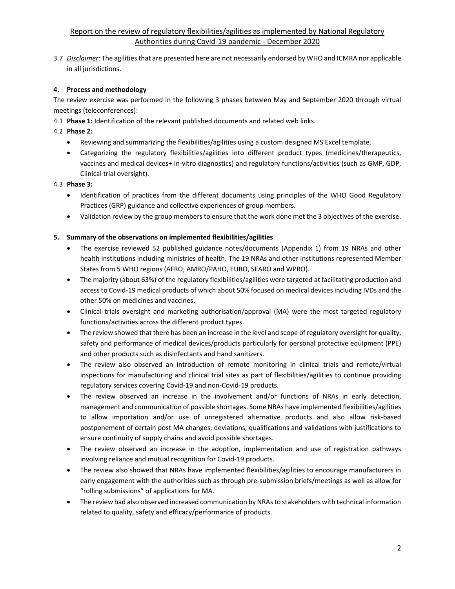# Report on the review of regulatory flexibilities/agilities as implemented by National Regulatory Authorities during Covid-19 pandemic - December 2020

3.7 *Disclaimer*: The agilities that are presented here are not necessarily endorsed by WHO and ICMRA nor applicable in all jurisdictions.

## **4. Process and methodology**

The review exercise was performed in the following 3 phases between May and September 2020 through virtual meetings (teleconferences):

4.1 **Phase 1:** Identification of the relevant published documents and related web links.

## 4.2 **Phase 2:**

- Reviewing and summarizing the flexibilities/agilities using a custom designed MS Excel template.
- Categorizing the regulatory flexibilities/agilities into different product types (medicines/therapeutics, vaccines and medical devices+ In-vitro diagnostics) and regulatory functions/activities (such as GMP, GDP, Clinical trial oversight).

## 4.3 **Phase 3:**

- Identification of practices from the different documents using principles of the WHO Good Regulatory Practices (GRP) guidance and collective experiences of group members.
- Validation review by the group members to ensure that the work done met the 3 objectives of the exercise.

## **5. Summary of the observations on implemented flexibilities/agilities**

- The exercise reviewed 52 published guidance notes/documents (Appendix 1) from 19 NRAs and other health institutions including ministries of health. The 19 NRAs and other institutions represented Member States from 5 WHO regions (AFRO, AMRO/PAHO, EURO, SEARO and WPRO).
- The majority (about 63%) of the regulatory flexibilities/agilities were targeted at facilitating production and access to Covid-19 medical products of which about 50% focused on medical devices including IVDs and the other 50% on medicines and vaccines.
- Clinical trials oversight and marketing authorisation/approval (MA) were the most targeted regulatory functions/activities across the different product types.
- The review showed that there has been an increase in the level and scope of regulatory oversight for quality, safety and performance of medical devices/products particularly for personal protective equipment (PPE) and other products such as disinfectants and hand sanitizers.
- The review also observed an introduction of remote monitoring in clinical trials and remote/virtual inspections for manufacturing and clinical trial sites as part of flexibilities/agilities to continue providing regulatory services covering Covid-19 and non-Covid-19 products.
- The review observed an increase in the involvement and/or functions of NRAs in early detection, management and communication of possible shortages. Some NRAs have implemented flexibilities/agilities to allow importation and/or use of unregistered alternative products and also allow risk-based postponement of certain post MA changes, deviations, qualifications and validations with justifications to ensure continuity of supply chains and avoid possible shortages.
- The review observed an increase in the adoption, implementation and use of registration pathways involving reliance and mutual recognition for Covid-19 products.
- The review also showed that NRAs have implemented flexibilities/agilities to encourage manufacturers in early engagement with the authorities such as through pre-submission briefs/meetings as well as allow for "rolling submissions" of applications for MA.
- The review had also observed increased communication by NRAs to stakeholders with technical information related to quality, safety and efficacy/performance of products.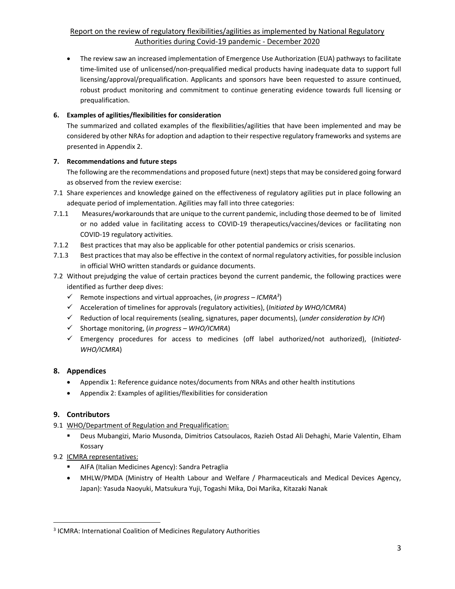# Report on the review of regulatory flexibilities/agilities as implemented by National Regulatory Authorities during Covid-19 pandemic - December 2020

• The review saw an increased implementation of Emergence Use Authorization (EUA) pathways to facilitate time-limited use of unlicensed/non-prequalified medical products having inadequate data to support full licensing/approval/prequalification. Applicants and sponsors have been requested to assure continued, robust product monitoring and commitment to continue generating evidence towards full licensing or prequalification.

## **6. Examples of agilities/flexibilities for consideration**

The summarized and collated examples of the flexibilities/agilities that have been implemented and may be considered by other NRAs for adoption and adaption to their respective regulatory frameworks and systems are presented in Appendix 2.

## **7. Recommendations and future steps**

The following are the recommendations and proposed future (next) steps that may be considered going forward as observed from the review exercise:

- 7.1 Share experiences and knowledge gained on the effectiveness of regulatory agilities put in place following an adequate period of implementation. Agilities may fall into three categories:
- 7.1.1 Measures/workarounds that are unique to the current pandemic, including those deemed to be of limited or no added value in facilitating access to COVID-19 therapeutics/vaccines/devices or facilitating non COVID-19 regulatory activities.
- 7.1.2 Best practices that may also be applicable for other potential pandemics or crisis scenarios.
- 7.1.3 Best practices that may also be effective in the context of normal regulatory activities, for possible inclusion in official WHO written standards or guidance documents.
- 7.2 Without prejudging the value of certain practices beyond the current pandemic, the following practices were identified as further deep dives:
	- ✓ Remote inspections and virtual approaches, (*in progress – ICMRA<sup>3</sup>* )
	- ✓ Acceleration of timelines for approvals (regulatory activities), (*Initiated by WHO/ICMRA*)
	- ✓ Reduction of local requirements (sealing, signatures, paper documents), (*under consideration by ICH*)
	- ✓ Shortage monitoring, (*in progress – WHO/ICMRA*)
	- ✓ Emergency procedures for access to medicines (off label authorized/not authorized), (*Initiated-WHO/ICMRA*)

# **8. Appendices**

- Appendix 1: Reference guidance notes/documents from NRAs and other health institutions
- Appendix 2: Examples of agilities/flexibilities for consideration

# **9. Contributors**

- 9.1 WHO/Department of Regulation and Prequalification:
	- Deus Mubangizi, Mario Musonda, Dimitrios Catsoulacos, Razieh Ostad Ali Dehaghi, Marie Valentin, Elham Kossary
- 9.2 ICMRA representatives:
	- AIFA (Italian Medicines Agency): Sandra Petraglia
	- MHLW/PMDA (Ministry of Health Labour and Welfare / Pharmaceuticals and Medical Devices Agency, Japan): Yasuda Naoyuki, Matsukura Yuji, Togashi Mika, Doi Marika, Kitazaki Nanak

<sup>&</sup>lt;sup>3</sup> ICMRA: International Coalition of Medicines Regulatory Authorities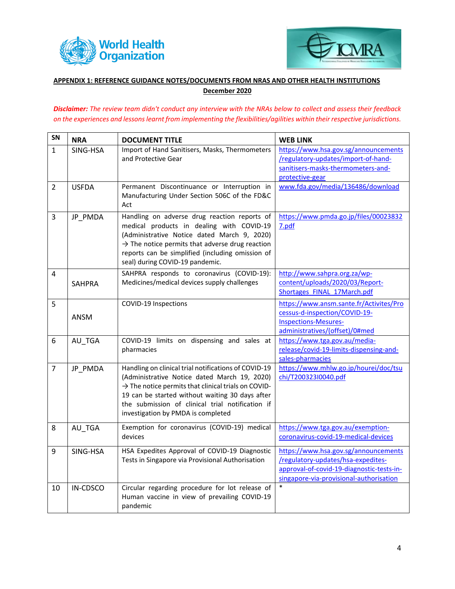



# **APPENDIX 1: REFERENCE GUIDANCE NOTES/DOCUMENTS FROM NRAS AND OTHER HEALTH INSTITUTIONS December 2020**

## *Disclaimer: The review team didn't conduct any interview with the NRAs below to collect and assess their feedback on the experiences and lessons learnt from implementing the flexibilities/agilities within their respective jurisdictions.*

| SN             | <b>NRA</b>    | <b>DOCUMENT TITLE</b>                                                                                                                                                                                                                                                                                                | <b>WEB LINK</b>                                                                                                                                                    |
|----------------|---------------|----------------------------------------------------------------------------------------------------------------------------------------------------------------------------------------------------------------------------------------------------------------------------------------------------------------------|--------------------------------------------------------------------------------------------------------------------------------------------------------------------|
| $\mathbf{1}$   | SING-HSA      | Import of Hand Sanitisers, Masks, Thermometers<br>and Protective Gear                                                                                                                                                                                                                                                | https://www.hsa.gov.sg/announcements<br>/regulatory-updates/import-of-hand-<br>sanitisers-masks-thermometers-and-<br>protective-gear                               |
| $\overline{2}$ | <b>USFDA</b>  | Permanent Discontinuance or Interruption in<br>Manufacturing Under Section 506C of the FD&C<br>Act                                                                                                                                                                                                                   | www.fda.gov/media/136486/download                                                                                                                                  |
| $\overline{3}$ | JP PMDA       | Handling on adverse drug reaction reports of<br>medical products in dealing with COVID-19<br>(Administrative Notice dated March 9, 2020)<br>$\rightarrow$ The notice permits that adverse drug reaction<br>reports can be simplified (including omission of<br>seal) during COVID-19 pandemic.                       | https://www.pmda.go.jp/files/00023832<br>7.pdf                                                                                                                     |
| 4              | <b>SAHPRA</b> | SAHPRA responds to coronavirus (COVID-19):<br>Medicines/medical devices supply challenges                                                                                                                                                                                                                            | http://www.sahpra.org.za/wp-<br>content/uploads/2020/03/Report-<br>Shortages FINAL 17March.pdf                                                                     |
| 5              | ANSM          | COVID-19 Inspections                                                                                                                                                                                                                                                                                                 | https://www.ansm.sante.fr/Activites/Pro<br>cessus-d-inspection/COVID-19-<br><b>Inspections-Mesures-</b><br>administratives/(offset)/0#med                          |
| 6              | AU TGA        | COVID-19 limits on dispensing and sales at<br>pharmacies                                                                                                                                                                                                                                                             | https://www.tga.gov.au/media-<br>release/covid-19-limits-dispensing-and-<br>sales-pharmacies                                                                       |
| $\overline{7}$ | JP_PMDA       | Handling on clinical trial notifications of COVID-19<br>(Administrative Notice dated March 19, 2020)<br>$\rightarrow$ The notice permits that clinical trials on COVID-<br>19 can be started without waiting 30 days after<br>the submission of clinical trial notification if<br>investigation by PMDA is completed | https://www.mhlw.go.jp/hourei/doc/tsu<br>chi/T200323I0040.pdf                                                                                                      |
| 8              | AU_TGA        | Exemption for coronavirus (COVID-19) medical<br>devices                                                                                                                                                                                                                                                              | https://www.tga.gov.au/exemption-<br>coronavirus-covid-19-medical-devices                                                                                          |
| 9              | SING-HSA      | HSA Expedites Approval of COVID-19 Diagnostic<br>Tests in Singapore via Provisional Authorisation                                                                                                                                                                                                                    | https://www.hsa.gov.sg/announcements<br>/regulatory-updates/hsa-expedites-<br>approval-of-covid-19-diagnostic-tests-in-<br>singapore-via-provisional-authorisation |
| 10             | IN-CDSCO      | Circular regarding procedure for lot release of<br>Human vaccine in view of prevailing COVID-19<br>pandemic                                                                                                                                                                                                          | $\ast$                                                                                                                                                             |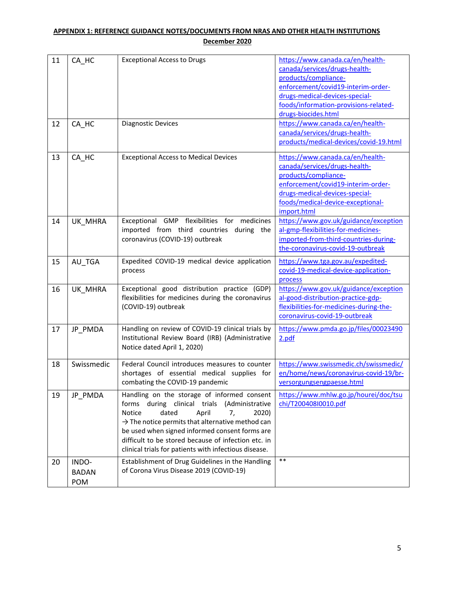# **APPENDIX 1: REFERENCE GUIDANCE NOTES/DOCUMENTS FROM NRAS AND OTHER HEALTH INSTITUTIONS**

| December 2020 |  |
|---------------|--|
|               |  |

| 11 | CA_HC                               | <b>Exceptional Access to Drugs</b>                                                                                                                                                                                                                                                                                                                                             | https://www.canada.ca/en/health-<br>canada/services/drugs-health-<br>products/compliance-<br>enforcement/covid19-interim-order-<br>drugs-medical-devices-special-<br>foods/information-provisions-related-<br>drugs-biocides.html |
|----|-------------------------------------|--------------------------------------------------------------------------------------------------------------------------------------------------------------------------------------------------------------------------------------------------------------------------------------------------------------------------------------------------------------------------------|-----------------------------------------------------------------------------------------------------------------------------------------------------------------------------------------------------------------------------------|
| 12 | CA_HC                               | <b>Diagnostic Devices</b>                                                                                                                                                                                                                                                                                                                                                      | https://www.canada.ca/en/health-<br>canada/services/drugs-health-<br>products/medical-devices/covid-19.html                                                                                                                       |
| 13 | CA_HC                               | <b>Exceptional Access to Medical Devices</b>                                                                                                                                                                                                                                                                                                                                   | https://www.canada.ca/en/health-<br>canada/services/drugs-health-<br>products/compliance-<br>enforcement/covid19-interim-order-<br>drugs-medical-devices-special-<br>foods/medical-device-exceptional-<br>import.html             |
| 14 | UK_MHRA                             | Exceptional GMP flexibilities for medicines<br>imported from third countries during the<br>coronavirus (COVID-19) outbreak                                                                                                                                                                                                                                                     | https://www.gov.uk/guidance/exception<br>al-gmp-flexibilities-for-medicines-<br>imported-from-third-countries-during-<br>the-coronavirus-covid-19-outbreak                                                                        |
| 15 | AU_TGA                              | Expedited COVID-19 medical device application<br>process                                                                                                                                                                                                                                                                                                                       | https://www.tga.gov.au/expedited-<br>covid-19-medical-device-application-<br>process                                                                                                                                              |
| 16 | UK_MHRA                             | Exceptional good distribution practice (GDP)<br>flexibilities for medicines during the coronavirus<br>(COVID-19) outbreak                                                                                                                                                                                                                                                      | https://www.gov.uk/guidance/exception<br>al-good-distribution-practice-gdp-<br>flexibilities-for-medicines-during-the-<br>coronavirus-covid-19-outbreak                                                                           |
| 17 | JP_PMDA                             | Handling on review of COVID-19 clinical trials by<br>Institutional Review Board (IRB) (Administrative<br>Notice dated April 1, 2020)                                                                                                                                                                                                                                           | https://www.pmda.go.jp/files/00023490<br>2.pdf                                                                                                                                                                                    |
| 18 | Swissmedic                          | Federal Council introduces measures to counter<br>shortages of essential medical supplies for<br>combating the COVID-19 pandemic                                                                                                                                                                                                                                               | https://www.swissmedic.ch/swissmedic/<br>en/home/news/coronavirus-covid-19/br-<br>versorgungsengpaesse.html                                                                                                                       |
| 19 | JP_PMDA                             | Handling on the storage of informed consent<br>during clinical trials<br>(Administrative<br>forms<br>Notice<br>dated<br>April<br>2020)<br>7,<br>$\rightarrow$ The notice permits that alternative method can<br>be used when signed informed consent forms are<br>difficult to be stored because of infection etc. in<br>clinical trials for patients with infectious disease. | https://www.mhlw.go.jp/hourei/doc/tsu<br>chi/T200408I0010.pdf                                                                                                                                                                     |
| 20 | INDO-<br><b>BADAN</b><br><b>POM</b> | Establishment of Drug Guidelines in the Handling<br>of Corona Virus Disease 2019 (COVID-19)                                                                                                                                                                                                                                                                                    | $***$                                                                                                                                                                                                                             |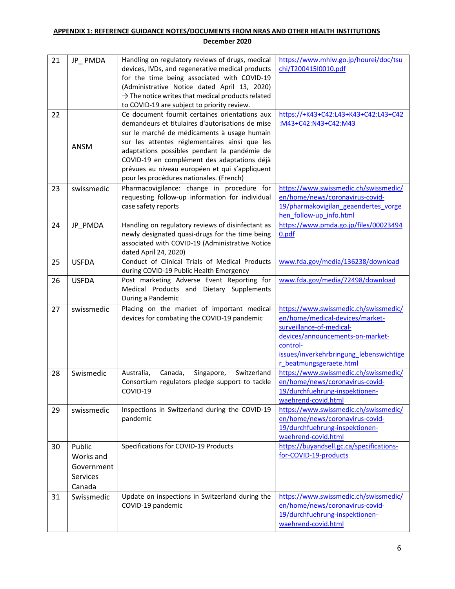# **APPENDIX 1: REFERENCE GUIDANCE NOTES/DOCUMENTS FROM NRAS AND OTHER HEALTH INSTITUTIONS**

## **December 2020**

| 21<br>22 | JP_PMDA                                                 | Handling on regulatory reviews of drugs, medical<br>devices, IVDs, and regenerative medical products<br>for the time being associated with COVID-19<br>(Administrative Notice dated April 13, 2020)<br>$\rightarrow$ The notice writes that medical products related<br>to COVID-19 are subject to priority review.<br>Ce document fournit certaines orientations aux<br>demandeurs et titulaires d'autorisations de mise<br>sur le marché de médicaments à usage humain | https://www.mhlw.go.jp/hourei/doc/tsu<br>chi/T200415I0010.pdf<br>https://+K43+C42:L43+K43+C42:L43+C42<br>:M43+C42:N43+C42:M43                                                                                              |
|----------|---------------------------------------------------------|--------------------------------------------------------------------------------------------------------------------------------------------------------------------------------------------------------------------------------------------------------------------------------------------------------------------------------------------------------------------------------------------------------------------------------------------------------------------------|----------------------------------------------------------------------------------------------------------------------------------------------------------------------------------------------------------------------------|
|          | ANSM                                                    | sur les attentes réglementaires ainsi que les<br>adaptations possibles pendant la pandémie de<br>COVID-19 en complément des adaptations déjà<br>prévues au niveau européen et qui s'appliquent<br>pour les procédures nationales. (French)                                                                                                                                                                                                                               |                                                                                                                                                                                                                            |
| 23       | swissmedic                                              | Pharmacovigilance: change in procedure for<br>requesting follow-up information for individual<br>case safety reports                                                                                                                                                                                                                                                                                                                                                     | https://www.swissmedic.ch/swissmedic/<br>en/home/news/coronavirus-covid-<br>19/pharmakovigilan geaendertes vorge<br>hen follow-up info.html                                                                                |
| 24       | JP_PMDA                                                 | Handling on regulatory reviews of disinfectant as<br>newly designated quasi-drugs for the time being<br>associated with COVID-19 (Administrative Notice<br>dated April 24, 2020)                                                                                                                                                                                                                                                                                         | https://www.pmda.go.jp/files/00023494<br>0.pdf                                                                                                                                                                             |
| 25       | <b>USFDA</b>                                            | Conduct of Clinical Trials of Medical Products<br>during COVID-19 Public Health Emergency                                                                                                                                                                                                                                                                                                                                                                                | www.fda.gov/media/136238/download                                                                                                                                                                                          |
| 26       | <b>USFDA</b>                                            | Post marketing Adverse Event Reporting for<br>Medical Products and Dietary Supplements<br>During a Pandemic                                                                                                                                                                                                                                                                                                                                                              | www.fda.gov/media/72498/download                                                                                                                                                                                           |
| 27       | swissmedic                                              | Placing on the market of important medical<br>devices for combating the COVID-19 pandemic                                                                                                                                                                                                                                                                                                                                                                                | https://www.swissmedic.ch/swissmedic/<br>en/home/medical-devices/market-<br>surveillance-of-medical-<br>devices/announcements-on-market-<br>control-<br>issues/inverkehrbringung lebenswichtige<br>r beatmungsgeraete.html |
| 28       | Swismedic                                               | Australia,<br>Canada,<br>Singapore,<br>Switzerland<br>Consortium regulators pledge support to tackle<br>COVID-19                                                                                                                                                                                                                                                                                                                                                         | https://www.swissmedic.ch/swissmedic/<br>en/home/news/coronavirus-covid-<br>19/durchfuehrung-inspektionen-<br>waehrend-covid.html                                                                                          |
| 29       | swissmedic                                              | Inspections in Switzerland during the COVID-19<br>pandemic                                                                                                                                                                                                                                                                                                                                                                                                               | https://www.swissmedic.ch/swissmedic/<br>en/home/news/coronavirus-covid-<br>19/durchfuehrung-inspektionen-<br>waehrend-covid.html                                                                                          |
| 30       | Public<br>Works and<br>Government<br>Services<br>Canada | Specifications for COVID-19 Products                                                                                                                                                                                                                                                                                                                                                                                                                                     | https://buyandsell.gc.ca/specifications-<br>for-COVID-19-products                                                                                                                                                          |
| 31       | Swissmedic                                              | Update on inspections in Switzerland during the<br>COVID-19 pandemic                                                                                                                                                                                                                                                                                                                                                                                                     | https://www.swissmedic.ch/swissmedic/<br>en/home/news/coronavirus-covid-<br>19/durchfuehrung-inspektionen-<br>waehrend-covid.html                                                                                          |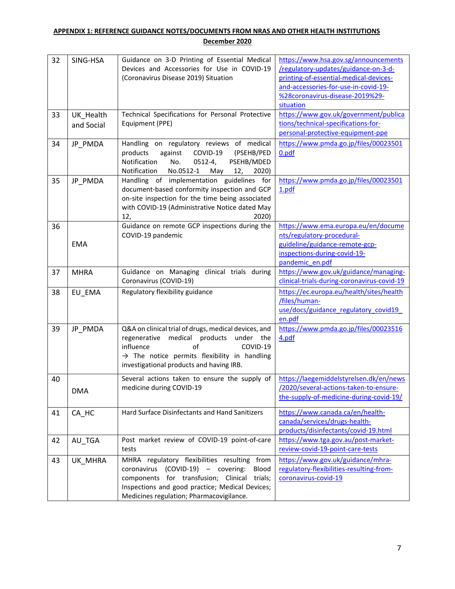# **APPENDIX 1: REFERENCE GUIDANCE NOTES/DOCUMENTS FROM NRAS AND OTHER HEALTH INSTITUTIONS**

| 32 | SING-HSA                | Guidance on 3-D Printing of Essential Medical<br>Devices and Accessories for Use in COVID-19<br>(Coronavirus Disease 2019) Situation                                                                                                                    | https://www.hsa.gov.sg/announcements<br>/regulatory-updates/guidance-on-3-d-<br>printing-of-essential-medical-devices-<br>and-accessories-for-use-in-covid-19-<br>%28coronavirus-disease-2019%29-<br>situation |
|----|-------------------------|---------------------------------------------------------------------------------------------------------------------------------------------------------------------------------------------------------------------------------------------------------|----------------------------------------------------------------------------------------------------------------------------------------------------------------------------------------------------------------|
| 33 | UK_Health<br>and Social | Technical Specifications for Personal Protective<br>Equipment (PPE)                                                                                                                                                                                     | https://www.gov.uk/government/publica<br>tions/technical-specifications-for-<br>personal-protective-equipment-ppe                                                                                              |
| 34 | JP_PMDA                 | Handling on regulatory reviews of medical<br>COVID-19<br>(PSEHB/PED<br>products<br>against<br>Notification<br>No.<br>$0512 - 4,$<br>PSEHB/MDED<br>Notification<br>No.0512-1<br>2020)<br>May<br>12,                                                      | https://www.pmda.go.jp/files/00023501<br>0.pdf                                                                                                                                                                 |
| 35 | JP_PMDA                 | Handling of implementation guidelines for<br>document-based conformity inspection and GCP<br>on-site inspection for the time being associated<br>with COVID-19 (Administrative Notice dated May<br>12,<br>2020)                                         | https://www.pmda.go.jp/files/00023501<br>1.pdf                                                                                                                                                                 |
| 36 | <b>EMA</b>              | Guidance on remote GCP inspections during the<br>COVID-19 pandemic                                                                                                                                                                                      | https://www.ema.europa.eu/en/docume<br>nts/regulatory-procedural-<br>guideline/guidance-remote-gcp-<br>inspections-during-covid-19-<br>pandemic en.pdf                                                         |
| 37 | <b>MHRA</b>             | Guidance on Managing clinical trials during<br>Coronavirus (COVID-19)                                                                                                                                                                                   | https://www.gov.uk/guidance/managing-<br>clinical-trials-during-coronavirus-covid-19                                                                                                                           |
| 38 | EU_EMA                  | Regulatory flexibility guidance                                                                                                                                                                                                                         | https://ec.europa.eu/health/sites/health<br>/files/human-<br>use/docs/guidance regulatory covid19<br>en.pdf                                                                                                    |
| 39 | JP_PMDA                 | Q&A on clinical trial of drugs, medical devices, and<br>regenerative<br>medical products<br>under the<br>influence<br>of<br>COVID-19<br>$\rightarrow$ The notice permits flexibility in handling<br>investigational products and having IRB.            | https://www.pmda.go.jp/files/00023516<br>4.pdf                                                                                                                                                                 |
| 40 | <b>DMA</b>              | Several actions taken to ensure the supply of<br>medicine during COVID-19                                                                                                                                                                               | https://laegemiddelstyrelsen.dk/en/news<br>/2020/several-actions-taken-to-ensure-<br>the-supply-of-medicine-during-covid-19/                                                                                   |
| 41 | CA_HC                   | Hard Surface Disinfectants and Hand Sanitizers                                                                                                                                                                                                          | https://www.canada.ca/en/health-<br>canada/services/drugs-health-<br>products/disinfectants/covid-19.html                                                                                                      |
| 42 | AU_TGA                  | Post market review of COVID-19 point-of-care<br>tests                                                                                                                                                                                                   | https://www.tga.gov.au/post-market-<br>review-covid-19-point-care-tests                                                                                                                                        |
| 43 | UK_MHRA                 | MHRA regulatory flexibilities resulting from<br>coronavirus<br>(COVID-19) - covering:<br><b>Blood</b><br>components for transfusion; Clinical<br>trials;<br>Inspections and good practice; Medical Devices;<br>Medicines regulation; Pharmacovigilance. | https://www.gov.uk/guidance/mhra-<br>regulatory-flexibilities-resulting-from-<br>coronavirus-covid-19                                                                                                          |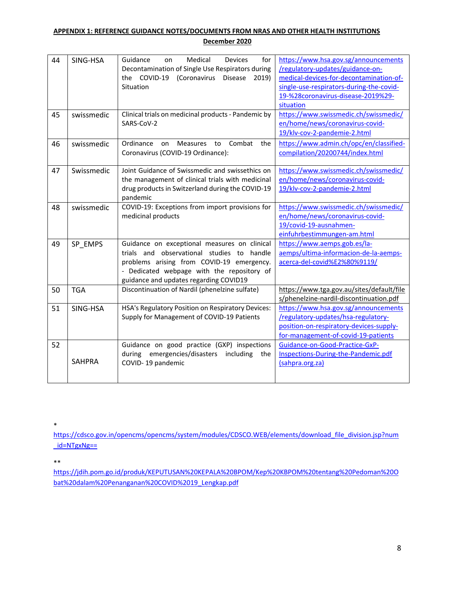## **APPENDIX 1: REFERENCE GUIDANCE NOTES/DOCUMENTS FROM NRAS AND OTHER HEALTH INSTITUTIONS December 2020**

| 44 | SING-HSA      | Guidance<br>Medical<br><b>Devices</b><br>for<br>on      | https://www.hsa.gov.sg/announcements      |
|----|---------------|---------------------------------------------------------|-------------------------------------------|
|    |               | Decontamination of Single Use Respirators during        | /regulatory-updates/guidance-on-          |
|    |               | the COVID-19<br>(Coronavirus<br><b>Disease</b><br>2019) | medical-devices-for-decontamination-of-   |
|    |               | Situation                                               | single-use-respirators-during-the-covid-  |
|    |               |                                                         | 19-%28coronavirus-disease-2019%29-        |
|    |               |                                                         | situation                                 |
| 45 | swissmedic    | Clinical trials on medicinal products - Pandemic by     | https://www.swissmedic.ch/swissmedic/     |
|    |               | SARS-CoV-2                                              | en/home/news/coronavirus-covid-           |
|    |               |                                                         | 19/klv-cov-2-pandemie-2.html              |
| 46 | swissmedic    | Ordinance<br>to Combat<br>Measures<br>on<br>the         | https://www.admin.ch/opc/en/classified-   |
|    |               | Coronavirus (COVID-19 Ordinance):                       | compilation/20200744/index.html           |
|    |               |                                                         |                                           |
| 47 | Swissmedic    | Joint Guidance of Swissmedic and swissethics on         | https://www.swissmedic.ch/swissmedic/     |
|    |               | the management of clinical trials with medicinal        | en/home/news/coronavirus-covid-           |
|    |               | drug products in Switzerland during the COVID-19        | 19/klv-cov-2-pandemie-2.html              |
|    |               | pandemic                                                |                                           |
| 48 | swissmedic    | COVID-19: Exceptions from import provisions for         | https://www.swissmedic.ch/swissmedic/     |
|    |               | medicinal products                                      | en/home/news/coronavirus-covid-           |
|    |               |                                                         | 19/covid-19-ausnahmen-                    |
|    |               |                                                         | einfuhrbestimmungen-am.html               |
| 49 | SP EMPS       | Guidance on exceptional measures on clinical            | https://www.aemps.gob.es/la-              |
|    |               | trials and observational studies to handle              | aemps/ultima-informacion-de-la-aemps-     |
|    |               | problems arising from COVID-19 emergency.               | acerca-del-covid%E2%80%9119/              |
|    |               | - Dedicated webpage with the repository of              |                                           |
|    |               | guidance and updates regarding COVID19                  |                                           |
| 50 | <b>TGA</b>    | Discontinuation of Nardil (phenelzine sulfate)          | https://www.tga.gov.au/sites/default/file |
|    |               |                                                         | s/phenelzine-nardil-discontinuation.pdf   |
| 51 | SING-HSA      | HSA's Regulatory Position on Respiratory Devices:       | https://www.hsa.gov.sg/announcements      |
|    |               | Supply for Management of COVID-19 Patients              | /regulatory-updates/hsa-regulatory-       |
|    |               |                                                         | position-on-respiratory-devices-supply-   |
|    |               |                                                         | for-management-of-covid-19-patients       |
| 52 |               | Guidance on good practice (GXP) inspections             | Guidance-on-Good-Practice-GxP-            |
|    |               | during emergencies/disasters<br>including<br>the        | Inspections-During-the-Pandemic.pdf       |
|    | <b>SAHPRA</b> | COVID-19 pandemic                                       | (sahpra.org.za)                           |
|    |               |                                                         |                                           |
|    |               |                                                         |                                           |

\*

[https://cdsco.gov.in/opencms/opencms/system/modules/CDSCO.WEB/elements/download\\_file\\_division.jsp?num](https://cdsco.gov.in/opencms/opencms/system/modules/CDSCO.WEB/elements/download_file_division.jsp?num_id=NTgxNg==) [\\_id=NTgxNg==](https://cdsco.gov.in/opencms/opencms/system/modules/CDSCO.WEB/elements/download_file_division.jsp?num_id=NTgxNg==)

\*\*

[https://jdih.pom.go.id/produk/KEPUTUSAN%20KEPALA%20BPOM/Kep%20KBPOM%20tentang%20Pedoman%20O](https://jdih.pom.go.id/produk/KEPUTUSAN%20KEPALA%20BPOM/Kep%20KBPOM%20tentang%20Pedoman%20Obat%20dalam%20Penanganan%20COVID%2019_Lengkap.pdf) [bat%20dalam%20Penanganan%20COVID%2019\\_Lengkap.pdf](https://jdih.pom.go.id/produk/KEPUTUSAN%20KEPALA%20BPOM/Kep%20KBPOM%20tentang%20Pedoman%20Obat%20dalam%20Penanganan%20COVID%2019_Lengkap.pdf)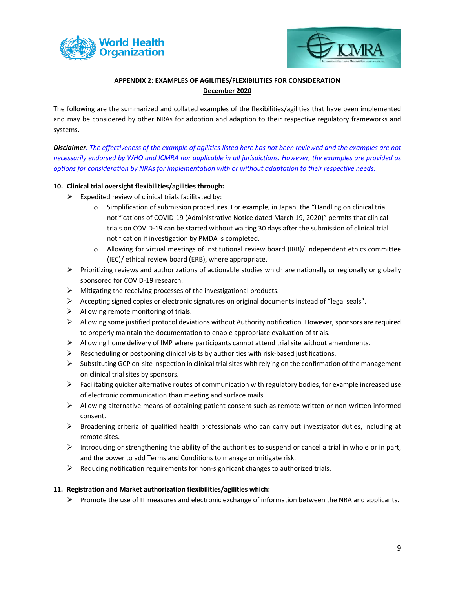



The following are the summarized and collated examples of the flexibilities/agilities that have been implemented and may be considered by other NRAs for adoption and adaption to their respective regulatory frameworks and systems.

*Disclaimer: The effectiveness of the example of agilities listed here has not been reviewed and the examples are not necessarily endorsed by WHO and ICMRA nor applicable in all jurisdictions. However, the examples are provided as options for consideration by NRAs for implementation with or without adaptation to their respective needs.*

## **10. Clinical trial oversight flexibilities/agilities through:**

- $\triangleright$  Expedited review of clinical trials facilitated by:
	- o Simplification of submission procedures. For example, in Japan, the "Handling on clinical trial notifications of COVID-19 (Administrative Notice dated March 19, 2020)" permits that clinical trials on COVID-19 can be started without waiting 30 days after the submission of clinical trial notification if investigation by PMDA is completed.
	- o Allowing for virtual meetings of institutional review board (IRB)/ independent ethics committee (IEC)/ ethical review board (ERB), where appropriate.
- ➢ Prioritizing reviews and authorizations of actionable studies which are nationally or regionally or globally sponsored for COVID-19 research.
- ➢ Mitigating the receiving processes of the investigational products.
- $\triangleright$  Accepting signed copies or electronic signatures on original documents instead of "legal seals".
- $\triangleright$  Allowing remote monitoring of trials.
- ➢ Allowing some justified protocol deviations without Authority notification. However, sponsors are required to properly maintain the documentation to enable appropriate evaluation of trials.
- $\triangleright$  Allowing home delivery of IMP where participants cannot attend trial site without amendments.
- $\triangleright$  Rescheduling or postponing clinical visits by authorities with risk-based justifications.
- ➢ Substituting GCP on-site inspection in clinical trial sites with relying on the confirmation of the management on clinical trial sites by sponsors.
- ➢ Facilitating quicker alternative routes of communication with regulatory bodies, for example increased use of electronic communication than meeting and surface mails.
- ➢ Allowing alternative means of obtaining patient consent such as remote written or non-written informed consent.
- ➢ Broadening criteria of qualified health professionals who can carry out investigator duties, including at remote sites.
- $\triangleright$  Introducing or strengthening the ability of the authorities to suspend or cancel a trial in whole or in part, and the power to add Terms and Conditions to manage or mitigate risk.
- $\triangleright$  Reducing notification requirements for non-significant changes to authorized trials.

### **11. Registration and Market authorization flexibilities/agilities which:**

➢ Promote the use of IT measures and electronic exchange of information between the NRA and applicants.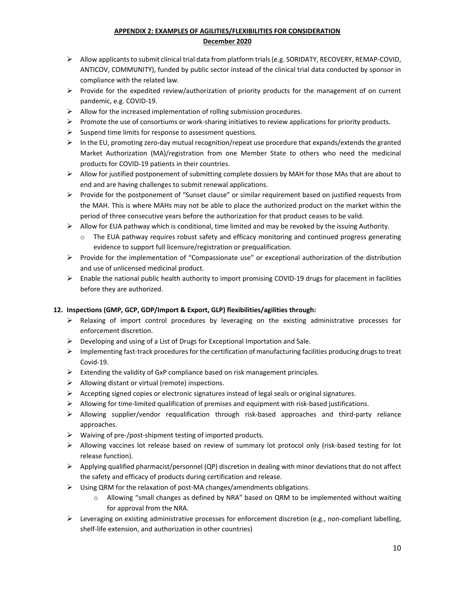- ➢ Allow applicants to submit clinical trial data from platform trials (e.g. SORIDATY, RECOVERY, REMAP-COVID, ANTICOV, COMMUNITY), funded by public sector instead of the clinical trial data conducted by sponsor in compliance with the related law.
- $\triangleright$  Provide for the expedited review/authorization of priority products for the management of on current pandemic, e.g. COVID-19.
- ➢ Allow for the increased implementation of rolling submission procedures.
- $\triangleright$  Promote the use of consortiums or work-sharing initiatives to review applications for priority products.
- ➢ Suspend time limits for response to assessment questions.
- ➢ In the EU, promoting zero-day mutual recognition/repeat use procedure that expands/extends the granted Market Authorization (MA)/registration from one Member State to others who need the medicinal products for COVID-19 patients in their countries.
- $\triangleright$  Allow for justified postponement of submitting complete dossiers by MAH for those MAs that are about to end and are having challenges to submit renewal applications.
- ➢ Provide for the postponement of "Sunset clause" or similar requirement based on justified requests from the MAH. This is where MAHs may not be able to place the authorized product on the market within the period of three consecutive years before the authorization for that product ceases to be valid.
- $\triangleright$  Allow for EUA pathway which is conditional, time limited and may be revoked by the issuing Authority.
	- o The EUA pathway requires robust safety and efficacy monitoring and continued progress generating evidence to support full licensure/registration or prequalification.
- ➢ Provide for the implementation of "Compassionate use" or exceptional authorization of the distribution and use of unlicensed medicinal product.
- $\triangleright$  Enable the national public health authority to import promising COVID-19 drugs for placement in facilities before they are authorized.

### **12. Inspections (GMP, GCP, GDP/Import & Export, GLP) flexibilities/agilities through:**

- ➢ Relaxing of import control procedures by leveraging on the existing administrative processes for enforcement discretion.
- $\triangleright$  Developing and using of a List of Drugs for Exceptional Importation and Sale.
- $\triangleright$  Implementing fast-track procedures for the certification of manufacturing facilities producing drugs to treat Covid-19.
- ➢ Extending the validity of GxP compliance based on risk management principles.
- $\triangleright$  Allowing distant or virtual (remote) inspections.
- $\triangleright$  Accepting signed copies or electronic signatures instead of legal seals or original signatures.
- ➢ Allowing for time-limited qualification of premises and equipment with risk-based justifications.
- ➢ Allowing supplier/vendor requalification through risk-based approaches and third-party reliance approaches.
- ➢ Waiving of pre-/post-shipment testing of imported products.
- ➢ Allowing vaccines lot release based on review of summary lot protocol only (risk-based testing for lot release function).
- ➢ Applying qualified pharmacist/personnel (QP) discretion in dealing with minor deviations that do not affect the safety and efficacy of products during certification and release.
- ➢ Using QRM for the relaxation of post-MA changes/amendments obligations.
	- $\circ$  Allowing "small changes as defined by NRA" based on QRM to be implemented without waiting for approval from the NRA.
- $\triangleright$  Leveraging on existing administrative processes for enforcement discretion (e.g., non-compliant labelling, shelf-life extension, and authorization in other countries)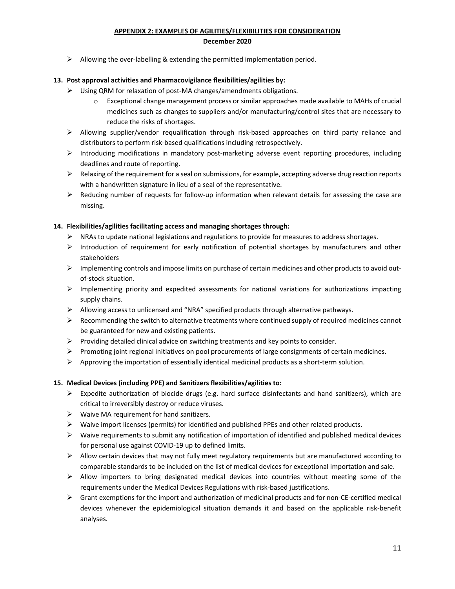$\triangleright$  Allowing the over-labelling & extending the permitted implementation period.

## **13. Post approval activities and Pharmacovigilance flexibilities/agilities by:**

- ➢ Using QRM for relaxation of post-MA changes/amendments obligations.
	- o Exceptional change management process or similar approaches made available to MAHs of crucial medicines such as changes to suppliers and/or manufacturing/control sites that are necessary to reduce the risks of shortages.
- ➢ Allowing supplier/vendor requalification through risk-based approaches on third party reliance and distributors to perform risk-based qualifications including retrospectively.
- $\triangleright$  Introducing modifications in mandatory post-marketing adverse event reporting procedures, including deadlines and route of reporting.
- $\triangleright$  Relaxing of the requirement for a seal on submissions, for example, accepting adverse drug reaction reports with a handwritten signature in lieu of a seal of the representative.
- $\triangleright$  Reducing number of requests for follow-up information when relevant details for assessing the case are missing.

## **14. Flexibilities/agilities facilitating access and managing shortages through:**

- ➢ NRAs to update national legislations and regulations to provide for measures to address shortages.
- $\triangleright$  Introduction of requirement for early notification of potential shortages by manufacturers and other stakeholders
- $\triangleright$  Implementing controls and impose limits on purchase of certain medicines and other products to avoid outof-stock situation.
- $\triangleright$  Implementing priority and expedited assessments for national variations for authorizations impacting supply chains.
- ➢ Allowing access to unlicensed and "NRA" specified products through alternative pathways.
- $\triangleright$  Recommending the switch to alternative treatments where continued supply of required medicines cannot be guaranteed for new and existing patients.
- $\triangleright$  Providing detailed clinical advice on switching treatments and key points to consider.
- ➢ Promoting joint regional initiatives on pool procurements of large consignments of certain medicines.
- $\triangleright$  Approving the importation of essentially identical medicinal products as a short-term solution.

### **15. Medical Devices (including PPE) and Sanitizers flexibilities/agilities to:**

- $\triangleright$  Expedite authorization of biocide drugs (e.g. hard surface disinfectants and hand sanitizers), which are critical to irreversibly destroy or reduce viruses.
- $\triangleright$  Waive MA requirement for hand sanitizers.
- ➢ Waive import licenses (permits) for identified and published PPEs and other related products.
- ➢ Waive requirements to submit any notification of importation of identified and published medical devices for personal use against COVID-19 up to defined limits.
- $\triangleright$  Allow certain devices that may not fully meet regulatory requirements but are manufactured according to comparable standards to be included on the list of medical devices for exceptional importation and sale.
- $\triangleright$  Allow importers to bring designated medical devices into countries without meeting some of the requirements under the Medical Devices Regulations with risk-based justifications.
- $\triangleright$  Grant exemptions for the import and authorization of medicinal products and for non-CE-certified medical devices whenever the epidemiological situation demands it and based on the applicable risk-benefit analyses.